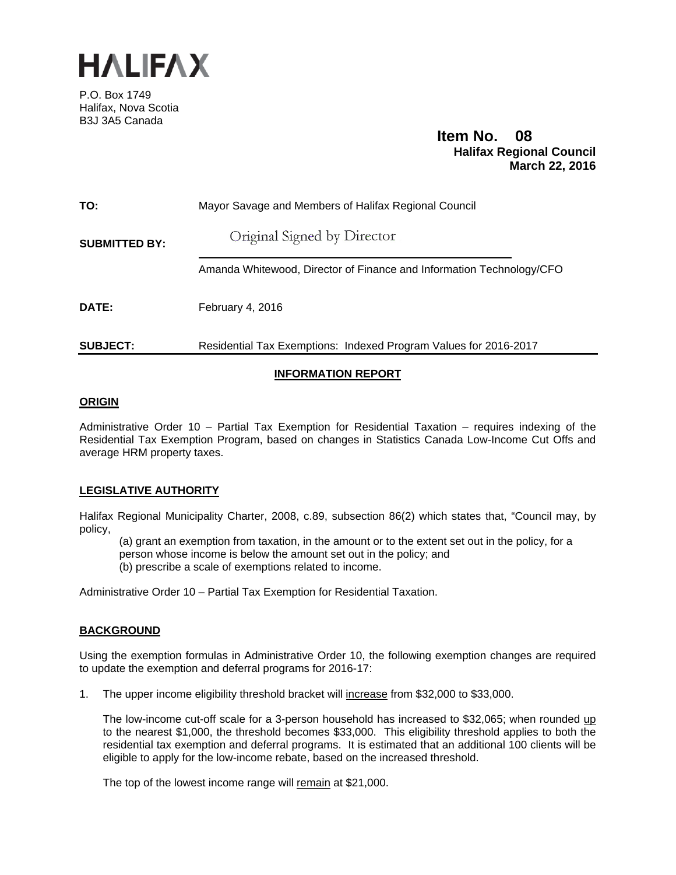

P.O. Box 1749 Halifax, Nova Scotia B3J 3A5 Canada

# **Item No. 08**<br>**Halifax Regional Council March 22, 2016**

| TO:                  | Mayor Savage and Members of Halifax Regional Council                 |
|----------------------|----------------------------------------------------------------------|
| <b>SUBMITTED BY:</b> | Original Signed by Director                                          |
|                      | Amanda Whitewood, Director of Finance and Information Technology/CFO |
| DATE:                | February 4, 2016                                                     |
| <b>SUBJECT:</b>      | Residential Tax Exemptions: Indexed Program Values for 2016-2017     |

# **INFORMATION REPORT**

#### **ORIGIN**

Administrative Order 10 – Partial Tax Exemption for Residential Taxation – requires indexing of the Residential Tax Exemption Program, based on changes in Statistics Canada Low-Income Cut Offs and average HRM property taxes.

#### **LEGISLATIVE AUTHORITY**

Halifax Regional Municipality Charter, 2008, c.89, subsection 86(2) which states that, "Council may, by policy,

(a) grant an exemption from taxation, in the amount or to the extent set out in the policy, for a person whose income is below the amount set out in the policy; and (b) prescribe a scale of exemptions related to income.

Administrative Order 10 – Partial Tax Exemption for Residential Taxation.

## **BACKGROUND**

Using the exemption formulas in Administrative Order 10, the following exemption changes are required to update the exemption and deferral programs for 2016-17:

1. The upper income eligibility threshold bracket will increase from \$32,000 to \$33,000.

The low-income cut-off scale for a 3-person household has increased to \$32,065; when rounded up to the nearest \$1,000, the threshold becomes \$33,000. This eligibility threshold applies to both the residential tax exemption and deferral programs. It is estimated that an additional 100 clients will be eligible to apply for the low-income rebate, based on the increased threshold.

The top of the lowest income range will remain at \$21,000.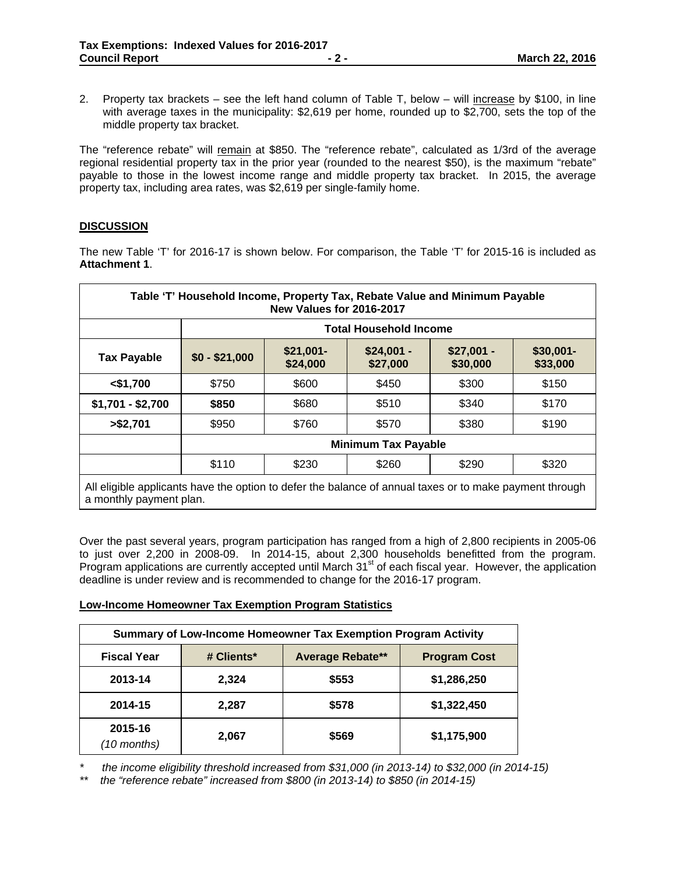2. Property tax brackets – see the left hand column of Table T, below – will increase by \$100, in line with average taxes in the municipality: \$2,619 per home, rounded up to \$2,700, sets the top of the middle property tax bracket.

The "reference rebate" will remain at \$850. The "reference rebate", calculated as 1/3rd of the average regional residential property tax in the prior year (rounded to the nearest \$50), is the maximum "rebate" payable to those in the lowest income range and middle property tax bracket. In 2015, the average property tax, including area rates, was \$2,619 per single-family home.

## **DISCUSSION**

The new Table 'T' for 2016-17 is shown below. For comparison, the Table 'T' for 2015-16 is included as **Attachment 1**.

| Table 'T' Household Income, Property Tax, Rebate Value and Minimum Payable<br>New Values for 2016-2017                             |                               |                        |                         |                         |                       |
|------------------------------------------------------------------------------------------------------------------------------------|-------------------------------|------------------------|-------------------------|-------------------------|-----------------------|
|                                                                                                                                    | <b>Total Household Income</b> |                        |                         |                         |                       |
| <b>Tax Payable</b>                                                                                                                 | $$0 - $21,000$                | $$21,001-$<br>\$24,000 | $$24,001 -$<br>\$27,000 | $$27,001 -$<br>\$30,000 | \$30,001-<br>\$33,000 |
| $<$ \$1,700                                                                                                                        | \$750                         | \$600                  | \$450                   | \$300                   | \$150                 |
| $$1,701 - $2,700$                                                                                                                  | \$850                         | \$680                  | \$510                   | \$340                   | \$170                 |
| > \$2,701                                                                                                                          | \$950                         | \$760                  | \$570                   | \$380                   | \$190                 |
|                                                                                                                                    | <b>Minimum Tax Payable</b>    |                        |                         |                         |                       |
|                                                                                                                                    | \$110                         | \$230                  | \$260                   | \$290                   | \$320                 |
| All eligible applicants have the option to defer the balance of annual taxes or to make payment through<br>a monthly payment plan. |                               |                        |                         |                         |                       |

Over the past several years, program participation has ranged from a high of 2,800 recipients in 2005-06 to just over 2,200 in 2008-09. In 2014-15, about 2,300 households benefitted from the program. Program applications are currently accepted until March 31st of each fiscal year. However, the application deadline is under review and is recommended to change for the 2016-17 program.

#### **Low-Income Homeowner Tax Exemption Program Statistics**

| Summary of Low-Income Homeowner Tax Exemption Program Activity |            |                         |                     |
|----------------------------------------------------------------|------------|-------------------------|---------------------|
| <b>Fiscal Year</b>                                             | # Clients* | <b>Average Rebate**</b> | <b>Program Cost</b> |
| 2013-14                                                        | 2,324      | \$553                   | \$1,286,250         |
| 2014-15                                                        | 2,287      | \$578                   | \$1,322,450         |
| 2015-16<br>$(10$ months)                                       | 2,067      | \$569                   | \$1,175,900         |

*\* the income eligibility threshold increased from \$31,000 (in 2013-14) to \$32,000 (in 2014-15)* 

*\*\* the "reference rebate" increased from \$800 (in 2013-14) to \$850 (in 2014-15)*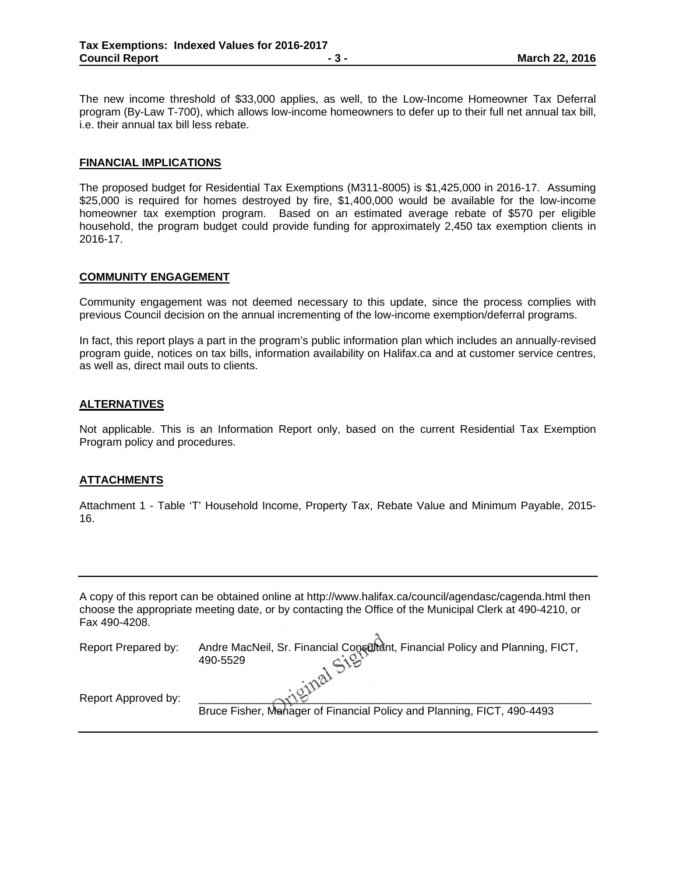The new income threshold of \$33,000 applies, as well, to the Low-Income Homeowner Tax Deferral program (By-Law T-700), which allows low-income homeowners to defer up to their full net annual tax bill, i.e. their annual tax bill less rebate.

#### **FINANCIAL IMPLICATIONS**

The proposed budget for Residential Tax Exemptions (M311-8005) is \$1,425,000 in 2016-17. Assuming \$25,000 is required for homes destroyed by fire, \$1,400,000 would be available for the low-income homeowner tax exemption program. Based on an estimated average rebate of \$570 per eligible household, the program budget could provide funding for approximately 2,450 tax exemption clients in 2016-17.

#### **COMMUNITY ENGAGEMENT**

Community engagement was not deemed necessary to this update, since the process complies with previous Council decision on the annual incrementing of the low-income exemption/deferral programs.

In fact, this report plays a part in the program's public information plan which includes an annually-revised program guide, notices on tax bills, information availability on Halifax.ca and at customer service centres, as well as, direct mail outs to clients.

#### **ALTERNATIVES**

Not applicable. This is an Information Report only, based on the current Residential Tax Exemption Program policy and procedures.

#### **ATTACHMENTS**

Attachment 1 - Table 'T' Household Income, Property Tax, Rebate Value and Minimum Payable, 2015- 16.

| A copy of this report can be obtained online at http://www.halifax.ca/council/agendasc/cagenda.html then |
|----------------------------------------------------------------------------------------------------------|
| choose the appropriate meeting date, or by contacting the Office of the Municipal Clerk at 490-4210, or  |
| Fax 490-4208.                                                                                            |
|                                                                                                          |

| Report Prepared by: | Andre MacNeil, Sr. Financial Consultant, Financial Policy and Planning, FICT,<br>490-5529 |
|---------------------|-------------------------------------------------------------------------------------------|
| Report Approved by: |                                                                                           |
|                     | Bruce Fisher, Manager of Financial Policy and Planning, FICT, 490-4493                    |